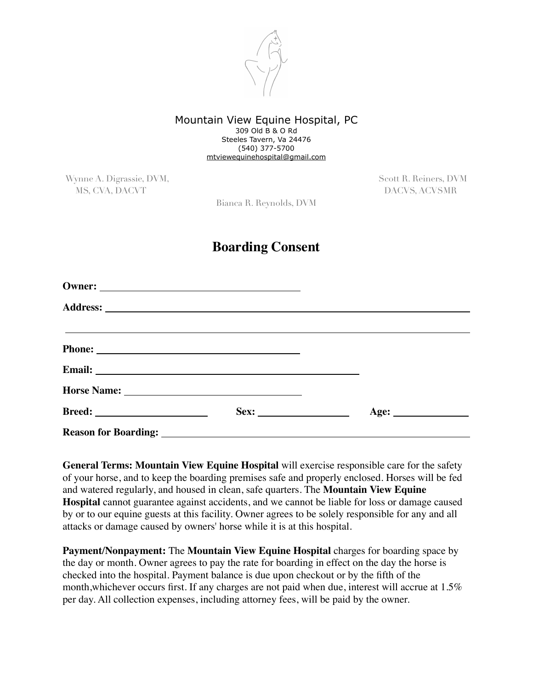

## Mountain View Equine Hospital, PC 309 Old B & O Rd Steeles Tavern, Va 24476 (540) 377-5700 [mtviewequinehospital@gmail.com](mailto:mtviewequinehospital@gmail.com)

Wynne A. Digrassie, DVM, Scott R. Reiners, DVM, Scott R. Reiners, DVM MS, CVA, DACVT DACVS, ACVSMR

Bianca R. Reynolds, DVM

## **Boarding Consent**

| Phone: |  |
|--------|--|
|        |  |
|        |  |
|        |  |
|        |  |

**General Terms: Mountain View Equine Hospital** will exercise responsible care for the safety of your horse, and to keep the boarding premises safe and properly enclosed. Horses will be fed and watered regularly, and housed in clean, safe quarters. The **Mountain View Equine Hospital** cannot guarantee against accidents, and we cannot be liable for loss or damage caused by or to our equine guests at this facility. Owner agrees to be solely responsible for any and all attacks or damage caused by owners' horse while it is at this hospital.

**Payment/Nonpayment:** The **Mountain View Equine Hospital** charges for boarding space by the day or month. Owner agrees to pay the rate for boarding in effect on the day the horse is checked into the hospital. Payment balance is due upon checkout or by the fifth of the month,whichever occurs first. If any charges are not paid when due, interest will accrue at 1.5% per day. All collection expenses, including attorney fees, will be paid by the owner.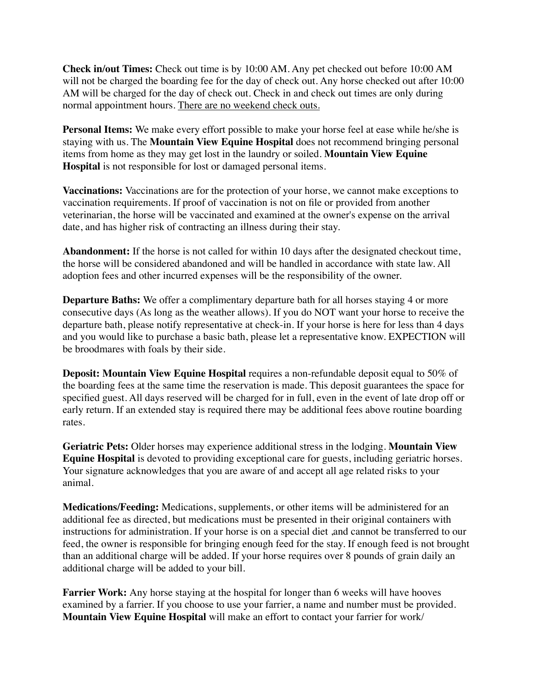**Check in/out Times:** Check out time is by 10:00 AM. Any pet checked out before 10:00 AM will not be charged the boarding fee for the day of check out. Any horse checked out after 10:00 AM will be charged for the day of check out. Check in and check out times are only during normal appointment hours. There are no weekend check outs.

**Personal Items:** We make every effort possible to make your horse feel at ease while he/she is staying with us. The **Mountain View Equine Hospital** does not recommend bringing personal items from home as they may get lost in the laundry or soiled. **Mountain View Equine Hospital** is not responsible for lost or damaged personal items.

**Vaccinations:** Vaccinations are for the protection of your horse, we cannot make exceptions to vaccination requirements. If proof of vaccination is not on file or provided from another veterinarian, the horse will be vaccinated and examined at the owner's expense on the arrival date, and has higher risk of contracting an illness during their stay.

**Abandonment:** If the horse is not called for within 10 days after the designated checkout time, the horse will be considered abandoned and will be handled in accordance with state law. All adoption fees and other incurred expenses will be the responsibility of the owner.

**Departure Baths:** We offer a complimentary departure bath for all horses staying 4 or more consecutive days (As long as the weather allows). If you do NOT want your horse to receive the departure bath, please notify representative at check-in. If your horse is here for less than 4 days and you would like to purchase a basic bath, please let a representative know. EXPECTION will be broodmares with foals by their side.

**Deposit: Mountain View Equine Hospital** requires a non-refundable deposit equal to 50% of the boarding fees at the same time the reservation is made. This deposit guarantees the space for specified guest. All days reserved will be charged for in full, even in the event of late drop off or early return. If an extended stay is required there may be additional fees above routine boarding rates.

**Geriatric Pets:** Older horses may experience additional stress in the lodging. **Mountain View Equine Hospital** is devoted to providing exceptional care for guests, including geriatric horses. Your signature acknowledges that you are aware of and accept all age related risks to your animal.

**Medications/Feeding:** Medications, supplements, or other items will be administered for an additional fee as directed, but medications must be presented in their original containers with instructions for administration. If your horse is on a special diet ,and cannot be transferred to our feed, the owner is responsible for bringing enough feed for the stay. If enough feed is not brought than an additional charge will be added. If your horse requires over 8 pounds of grain daily an additional charge will be added to your bill.

**Farrier Work:** Any horse staying at the hospital for longer than 6 weeks will have hooves examined by a farrier. If you choose to use your farrier, a name and number must be provided. **Mountain View Equine Hospital** will make an effort to contact your farrier for work/